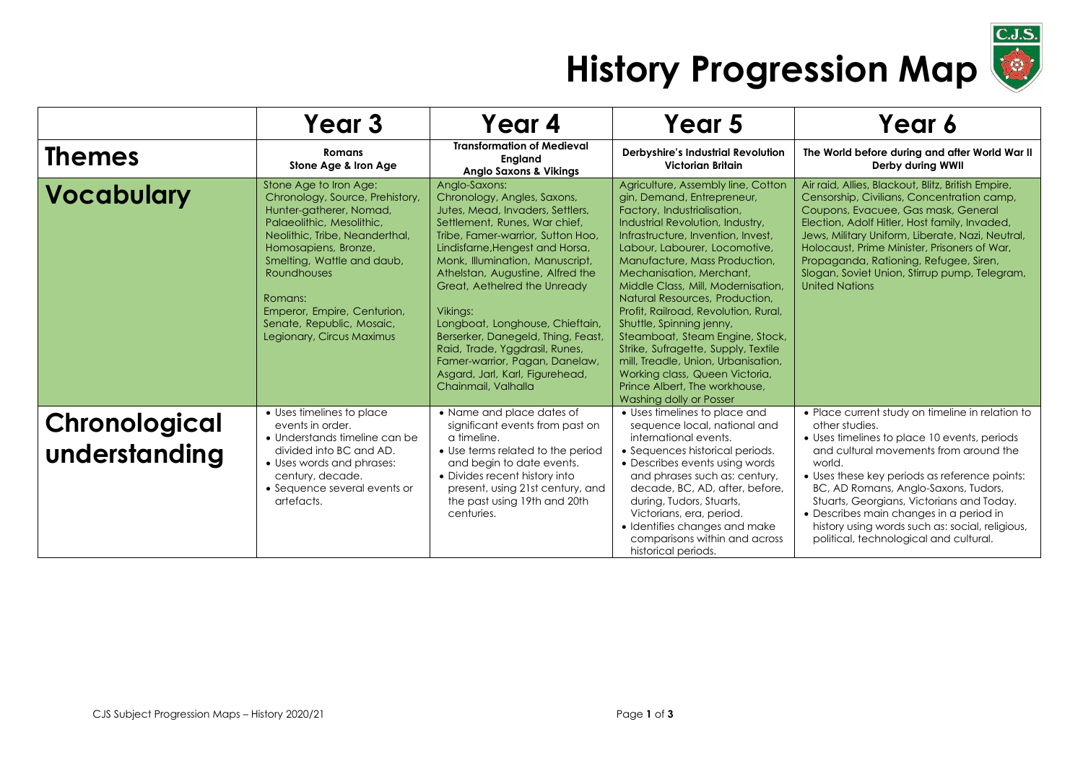

## **History Progression Map**

|                                | Year 3                                                                                                                                                                                                                                                                                                                              | Year 4                                                                                                                                                                                                                                                                                                                                                                                                                                                                                                              | Year 5                                                                                                                                                                                                                                                                                                                                                                                                                                                                                                                                                                                                                                    | Year 6                                                                                                                                                                                                                                                                                                                                                                                                                                               |
|--------------------------------|-------------------------------------------------------------------------------------------------------------------------------------------------------------------------------------------------------------------------------------------------------------------------------------------------------------------------------------|---------------------------------------------------------------------------------------------------------------------------------------------------------------------------------------------------------------------------------------------------------------------------------------------------------------------------------------------------------------------------------------------------------------------------------------------------------------------------------------------------------------------|-------------------------------------------------------------------------------------------------------------------------------------------------------------------------------------------------------------------------------------------------------------------------------------------------------------------------------------------------------------------------------------------------------------------------------------------------------------------------------------------------------------------------------------------------------------------------------------------------------------------------------------------|------------------------------------------------------------------------------------------------------------------------------------------------------------------------------------------------------------------------------------------------------------------------------------------------------------------------------------------------------------------------------------------------------------------------------------------------------|
| <b>Themes</b>                  | Romans<br>Stone Age & Iron Age                                                                                                                                                                                                                                                                                                      | <b>Transformation of Medieval</b><br>England<br><b>Anglo Saxons &amp; Vikings</b>                                                                                                                                                                                                                                                                                                                                                                                                                                   | Derbyshire's Industrial Revolution<br>Victorian Britain                                                                                                                                                                                                                                                                                                                                                                                                                                                                                                                                                                                   | The World before during and after World War II<br>Derby during WWII                                                                                                                                                                                                                                                                                                                                                                                  |
| <b>Vocabulary</b>              | Stone Age to Iron Age:<br>Chronology, Source, Prehistory,<br>Hunter-gatherer, Nomad,<br>Palaeolithic, Mesolithic,<br>Neolithic, Tribe, Neanderthal,<br>Homosapiens, Bronze,<br>Smelting, Wattle and daub,<br><b>Roundhouses</b><br>Romans:<br>Emperor, Empire, Centurion,<br>Senate, Republic, Mosaic,<br>Legionary, Circus Maximus | Analo-Saxons:<br>Chronology, Angles, Saxons,<br>Jutes, Mead, Invaders, Settlers,<br>Settlement, Runes, War chief,<br>Tribe, Famer-warrior, Sutton Hoo,<br>Lindisfarne, Hengest and Horsa,<br>Monk, Illumination, Manuscript,<br>Athelstan, Augustine, Alfred the<br>Great, Aethelred the Unready<br>Vikings:<br>Longboat, Longhouse, Chieftain,<br>Berserker, Danegeld, Thing, Feast,<br>Raid, Trade, Yggdrasil, Runes,<br>Famer-warrior, Pagan, Danelaw,<br>Asgard, Jarl, Karl, Figurehead,<br>Chainmail, Valhalla | Agriculture, Assembly line, Cotton<br>gin, Demand, Entrepreneur,<br>Factory, Industrialisation,<br>Industrial Revolution, Industry,<br>Infrastructure, Invention, Invest,<br>Labour, Labourer, Locomotive,<br>Manufacture, Mass Production,<br>Mechanisation, Merchant,<br>Middle Class, Mill, Modernisation,<br>Natural Resources, Production,<br>Profit, Railroad, Revolution, Rural,<br>Shuttle, Spinning jenny,<br>Steamboat, Steam Engine, Stock,<br>Strike, Sufragette, Supply, Textile<br>mill, Treadle, Union, Urbanisation,<br>Working class, Queen Victoria,<br>Prince Albert, The workhouse,<br><b>Washing dolly or Posser</b> | Air raid, Allies, Blackout, Blitz, British Empire,<br>Censorship, Civilians, Concentration camp,<br>Coupons, Evacuee, Gas mask, General<br>Election, Adolf Hitler, Host family, Invaded,<br>Jews, Military Uniform, Liberate, Nazi, Neutral,<br>Holocaust, Prime Minister, Prisoners of War,<br>Propaganda, Rationing, Refugee, Siren,<br>Slogan, Soviet Union, Stirrup pump, Telegram,<br><b>United Nations</b>                                     |
| Chronological<br>understanding | • Uses timelines to place<br>events in order.<br>• Understands timeline can be<br>divided into BC and AD.<br>• Uses words and phrases:<br>century, decade.<br>• Sequence several events or<br>artefacts.                                                                                                                            | • Name and place dates of<br>significant events from past on<br>a timeline.<br>• Use terms related to the period<br>and begin to date events.<br>• Divides recent history into<br>present, using 21st century, and<br>the past using 19th and 20th<br>centuries.                                                                                                                                                                                                                                                    | • Uses timelines to place and<br>sequence local, national and<br>international events.<br>• Sequences historical periods.<br>• Describes events using words<br>and phrases such as: century,<br>decade, BC, AD, after, before,<br>during, Tudors, Stuarts,<br>Victorians, era, period.<br>• Identifies changes and make<br>comparisons within and across<br>historical periods.                                                                                                                                                                                                                                                           | • Place current study on timeline in relation to<br>other studies.<br>• Uses timelines to place 10 events, periods<br>and cultural movements from around the<br>world.<br>• Uses these key periods as reference points:<br>BC, AD Romans, Anglo-Saxons, Tudors,<br>Stuarts, Georgians, Victorians and Today.<br>· Describes main changes in a period in<br>history using words such as: social, religious,<br>political, technological and cultural. |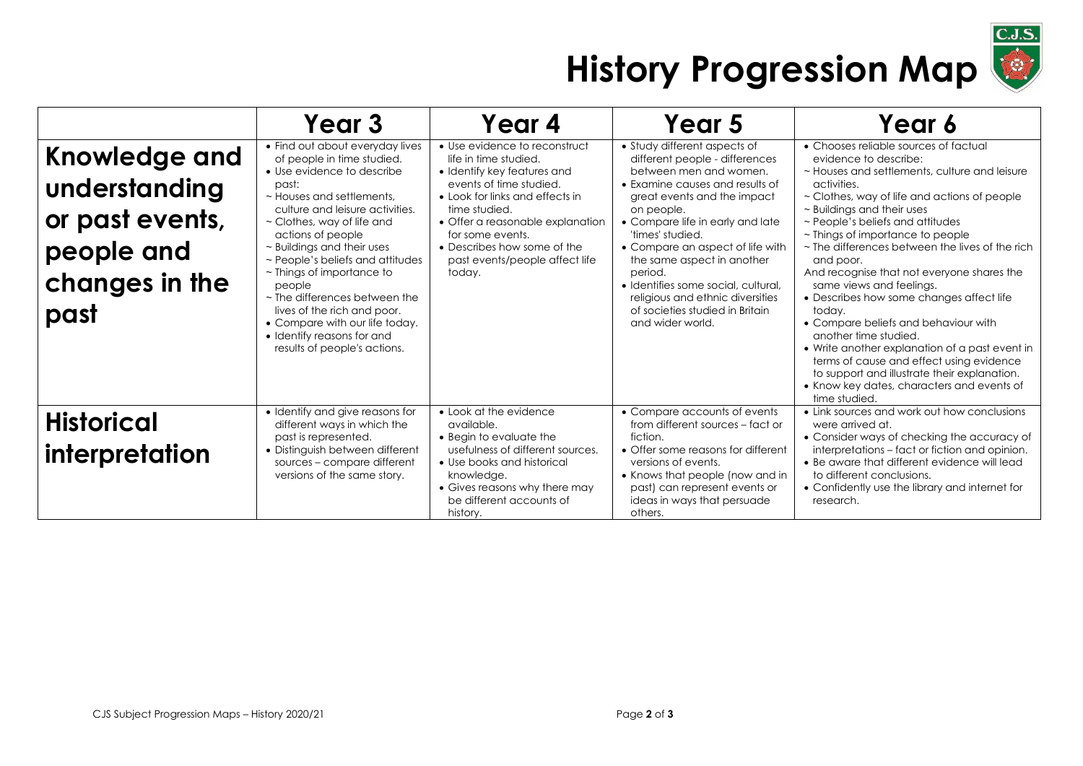

## **History Progression Map**

|                                                                                           | Year 3                                                                                                                                                                                                                                                                                                                                                                                                                                                                                                               | Year 4                                                                                                                                                                                                                                                                                                  | Year 5                                                                                                                                                                                                                                                                                                                                                                                                                                          | Year 6                                                                                                                                                                                                                                                                                                                                                                                                                                                                                                                                                                                                                                                                                                                                                                            |
|-------------------------------------------------------------------------------------------|----------------------------------------------------------------------------------------------------------------------------------------------------------------------------------------------------------------------------------------------------------------------------------------------------------------------------------------------------------------------------------------------------------------------------------------------------------------------------------------------------------------------|---------------------------------------------------------------------------------------------------------------------------------------------------------------------------------------------------------------------------------------------------------------------------------------------------------|-------------------------------------------------------------------------------------------------------------------------------------------------------------------------------------------------------------------------------------------------------------------------------------------------------------------------------------------------------------------------------------------------------------------------------------------------|-----------------------------------------------------------------------------------------------------------------------------------------------------------------------------------------------------------------------------------------------------------------------------------------------------------------------------------------------------------------------------------------------------------------------------------------------------------------------------------------------------------------------------------------------------------------------------------------------------------------------------------------------------------------------------------------------------------------------------------------------------------------------------------|
| Knowledge and<br>understanding<br>or past events,<br>people and<br>changes in the<br>past | • Find out about everyday lives<br>of people in time studied.<br>• Use evidence to describe<br>past:<br>$\sim$ Houses and settlements.<br>culture and leisure activities.<br>$\sim$ Clothes, way of life and<br>actions of people<br>~ Buildings and their uses<br>~ People's beliefs and attitudes<br>$\sim$ Things of importance to<br>people<br>$\sim$ The differences between the<br>lives of the rich and poor.<br>• Compare with our life today.<br>• Identify reasons for and<br>results of people's actions. | • Use evidence to reconstruct<br>life in time studied.<br>• Identify key features and<br>events of time studied.<br>• Look for links and effects in<br>time studied.<br>• Offer a reasonable explanation<br>for some events.<br>• Describes how some of the<br>past events/people affect life<br>today. | • Study different aspects of<br>different people - differences<br>between men and women.<br>• Examine causes and results of<br>great events and the impact<br>on people.<br>• Compare life in early and late<br>'times' studied.<br>• Compare an aspect of life with<br>the same aspect in another<br>period.<br>· Identifies some social, cultural,<br>religious and ethnic diversities<br>of societies studied in Britain<br>and wider world. | • Chooses reliable sources of factual<br>evidence to describe:<br>~ Houses and settlements, culture and leisure<br>activities.<br>$\sim$ Clothes, way of life and actions of people<br>$\sim$ Buildings and their uses<br>~ People's beliefs and attitudes<br>~ Things of importance to people<br>$\sim$ The differences between the lives of the rich<br>and poor.<br>And recognise that not everyone shares the<br>same views and feelings.<br>• Describes how some changes affect life<br>today.<br>• Compare beliefs and behaviour with<br>another time studied.<br>• Write another explanation of a past event in<br>terms of cause and effect using evidence<br>to support and illustrate their explanation.<br>• Know key dates, characters and events of<br>time studied. |
| <b>Historical</b><br>interpretation                                                       | • Identify and give reasons for<br>different ways in which the<br>past is represented.<br>• Distinguish between different<br>sources - compare different<br>versions of the same story.                                                                                                                                                                                                                                                                                                                              | • Look at the evidence<br>available.<br>• Begin to evaluate the<br>usefulness of different sources.<br>• Use books and historical<br>knowledge.<br>• Gives reasons why there may<br>be different accounts of<br>history.                                                                                | • Compare accounts of events<br>from different sources - fact or<br>fiction.<br>• Offer some reasons for different<br>versions of events.<br>• Knows that people (now and in<br>past) can represent events or<br>ideas in ways that persuade<br>others.                                                                                                                                                                                         | • Link sources and work out how conclusions<br>were arrived at.<br>• Consider ways of checking the accuracy of<br>interpretations – fact or fiction and opinion.<br>• Be aware that different evidence will lead<br>to different conclusions.<br>• Confidently use the library and internet for<br>research.                                                                                                                                                                                                                                                                                                                                                                                                                                                                      |